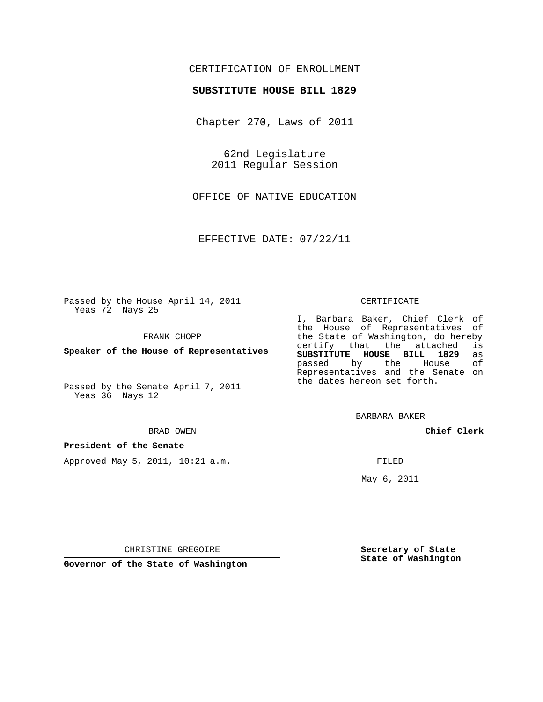### CERTIFICATION OF ENROLLMENT

#### **SUBSTITUTE HOUSE BILL 1829**

Chapter 270, Laws of 2011

62nd Legislature 2011 Regular Session

OFFICE OF NATIVE EDUCATION

EFFECTIVE DATE: 07/22/11

Passed by the House April 14, 2011 Yeas 72 Nays 25

FRANK CHOPP

**Speaker of the House of Representatives**

Passed by the Senate April 7, 2011 Yeas 36 Nays 12

#### BRAD OWEN

#### **President of the Senate**

Approved May 5, 2011, 10:21 a.m.

#### CERTIFICATE

I, Barbara Baker, Chief Clerk of the House of Representatives of the State of Washington, do hereby<br>certify that the attached is certify that the attached **SUBSTITUTE HOUSE BILL 1829** as passed by the Representatives and the Senate on the dates hereon set forth.

BARBARA BAKER

**Chief Clerk**

FILED

May 6, 2011

**Secretary of State State of Washington**

CHRISTINE GREGOIRE

**Governor of the State of Washington**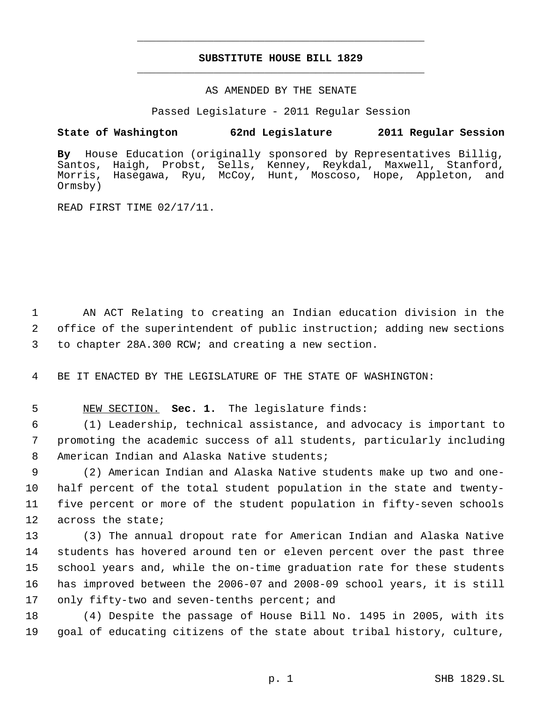# **SUBSTITUTE HOUSE BILL 1829** \_\_\_\_\_\_\_\_\_\_\_\_\_\_\_\_\_\_\_\_\_\_\_\_\_\_\_\_\_\_\_\_\_\_\_\_\_\_\_\_\_\_\_\_\_

\_\_\_\_\_\_\_\_\_\_\_\_\_\_\_\_\_\_\_\_\_\_\_\_\_\_\_\_\_\_\_\_\_\_\_\_\_\_\_\_\_\_\_\_\_

### AS AMENDED BY THE SENATE

Passed Legislature - 2011 Regular Session

### **State of Washington 62nd Legislature 2011 Regular Session**

**By** House Education (originally sponsored by Representatives Billig, Santos, Haigh, Probst, Sells, Kenney, Reykdal, Maxwell, Stanford, Morris, Hasegawa, Ryu, McCoy, Hunt, Moscoso, Hope, Appleton, and Ormsby)

READ FIRST TIME 02/17/11.

 1 AN ACT Relating to creating an Indian education division in the 2 office of the superintendent of public instruction; adding new sections 3 to chapter 28A.300 RCW; and creating a new section.

4 BE IT ENACTED BY THE LEGISLATURE OF THE STATE OF WASHINGTON:

## 5 NEW SECTION. **Sec. 1.** The legislature finds:

 6 (1) Leadership, technical assistance, and advocacy is important to 7 promoting the academic success of all students, particularly including 8 American Indian and Alaska Native students;

 (2) American Indian and Alaska Native students make up two and one- half percent of the total student population in the state and twenty- five percent or more of the student population in fifty-seven schools across the state;

 (3) The annual dropout rate for American Indian and Alaska Native students has hovered around ten or eleven percent over the past three school years and, while the on-time graduation rate for these students has improved between the 2006-07 and 2008-09 school years, it is still only fifty-two and seven-tenths percent; and

18 (4) Despite the passage of House Bill No. 1495 in 2005, with its 19 goal of educating citizens of the state about tribal history, culture,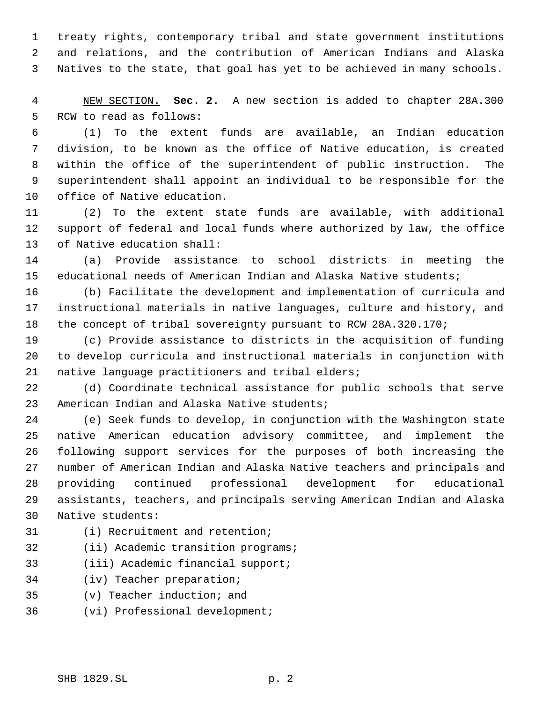treaty rights, contemporary tribal and state government institutions and relations, and the contribution of American Indians and Alaska Natives to the state, that goal has yet to be achieved in many schools.

 NEW SECTION. **Sec. 2.** A new section is added to chapter 28A.300 RCW to read as follows:

 (1) To the extent funds are available, an Indian education division, to be known as the office of Native education, is created within the office of the superintendent of public instruction. The superintendent shall appoint an individual to be responsible for the office of Native education.

 (2) To the extent state funds are available, with additional support of federal and local funds where authorized by law, the office of Native education shall:

 (a) Provide assistance to school districts in meeting the educational needs of American Indian and Alaska Native students;

 (b) Facilitate the development and implementation of curricula and instructional materials in native languages, culture and history, and the concept of tribal sovereignty pursuant to RCW 28A.320.170;

 (c) Provide assistance to districts in the acquisition of funding to develop curricula and instructional materials in conjunction with native language practitioners and tribal elders;

 (d) Coordinate technical assistance for public schools that serve American Indian and Alaska Native students;

 (e) Seek funds to develop, in conjunction with the Washington state native American education advisory committee, and implement the following support services for the purposes of both increasing the number of American Indian and Alaska Native teachers and principals and providing continued professional development for educational assistants, teachers, and principals serving American Indian and Alaska Native students:

- (i) Recruitment and retention;
- 32 (ii) Academic transition programs;
- (iii) Academic financial support;
- (iv) Teacher preparation;
- (v) Teacher induction; and
- (vi) Professional development;